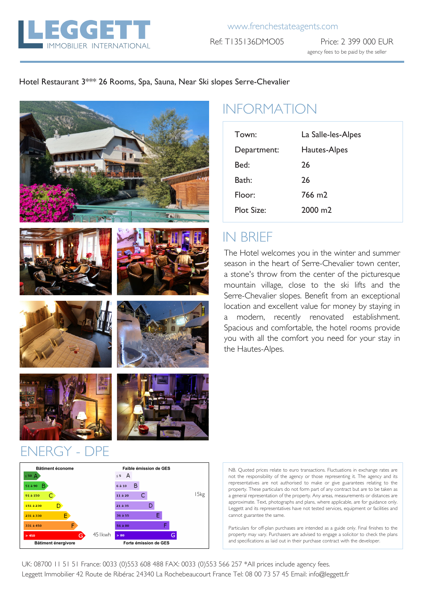

Ref: T135136DMO05 Price: 2 399 000 EUR agency fees to be paid by the seller

#### Hotel Restaurant 3\*\*\* 26 Rooms, Spa, Sauna, Near Ski slopes Serre-Chevalier







# INFORMATION

| Town:             | La Salle-les-Alpes |
|-------------------|--------------------|
| Department:       | Hautes-Alpes       |
| Bed:              | 26                 |
| Bath:             | 26                 |
| Floor:            | 766 m <sub>2</sub> |
| <b>Plot Size:</b> | $2000 \text{ m}$ 2 |

# IN BRIEF

The Hotel welcomes you in the winter and summer season in the heart of Serre-Chevalier town center, a stone's throw from the center of the picturesque mountain village, close to the ski lifts and the Serre-Chevalier slopes. Benefit from an exceptional location and excellent value for money by staying in a modern, recently renovated establishment. Spacious and comfortable, the hotel rooms provide you with all the comfort you need for your stay in the Hautes-Alpes.







### ENERGY - DPE



NB. Quoted prices relate to euro transactions. Fluctuations in exchange rates are not the responsibility of the agency or those representing it. The agency and its representatives are not authorised to make or give guarantees relating to the property. These particulars do not form part of any contract but are to be taken as a general representation of the property. Any areas, measurements or distances are approximate. Text, photographs and plans, where applicable, are for guidance only. Leggett and its representatives have not tested services, equipment or facilities and cannot guarantee the same.

Particulars for off-plan purchases are intended as a guide only. Final finishes to the property may vary. Purchasers are advised to engage a solicitor to check the plans and specifications as laid out in their purchase contract with the developer.

UK: 08700 11 51 51 France: 0033 (0)553 608 488 FAX: 0033 (0)553 566 257 \*All prices include agency fees. Leggett Immobilier 42 Route de Ribérac 24340 La Rochebeaucourt France Tel: 08 00 73 57 45 Email: info@leggett.fr